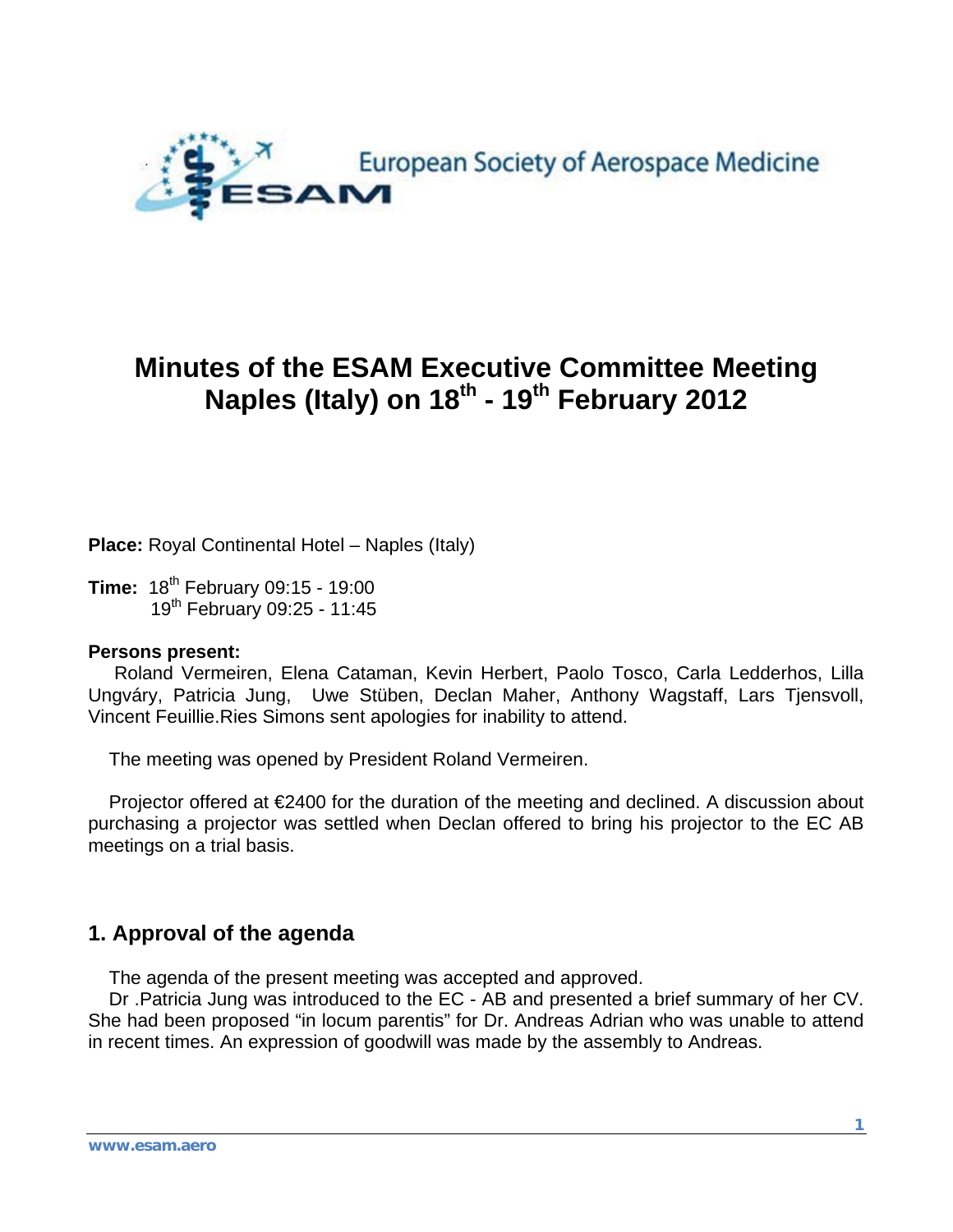

# **Minutes of the ESAM Executive Committee Meeting Naples (Italy) on 18th - 19th February 2012**

**Place:** Royal Continental Hotel – Naples (Italy)

**Time:** 18<sup>th</sup> February 09:15 - 19:00 19th February 09:25 - 11:45

#### **Persons present:**

 Roland Vermeiren, Elena Cataman, Kevin Herbert, Paolo Tosco, Carla Ledderhos, Lilla Ungváry, Patricia Jung, Uwe Stüben, Declan Maher, Anthony Wagstaff, Lars Tjensvoll, Vincent Feuillie.Ries Simons sent apologies for inability to attend.

The meeting was opened by President Roland Vermeiren.

Projector offered at €2400 for the duration of the meeting and declined. A discussion about purchasing a projector was settled when Declan offered to bring his projector to the EC AB meetings on a trial basis.

### **1. Approval of the agenda**

The agenda of the present meeting was accepted and approved.

 Dr .Patricia Jung was introduced to the EC - AB and presented a brief summary of her CV. She had been proposed "in locum parentis" for Dr. Andreas Adrian who was unable to attend in recent times. An expression of goodwill was made by the assembly to Andreas.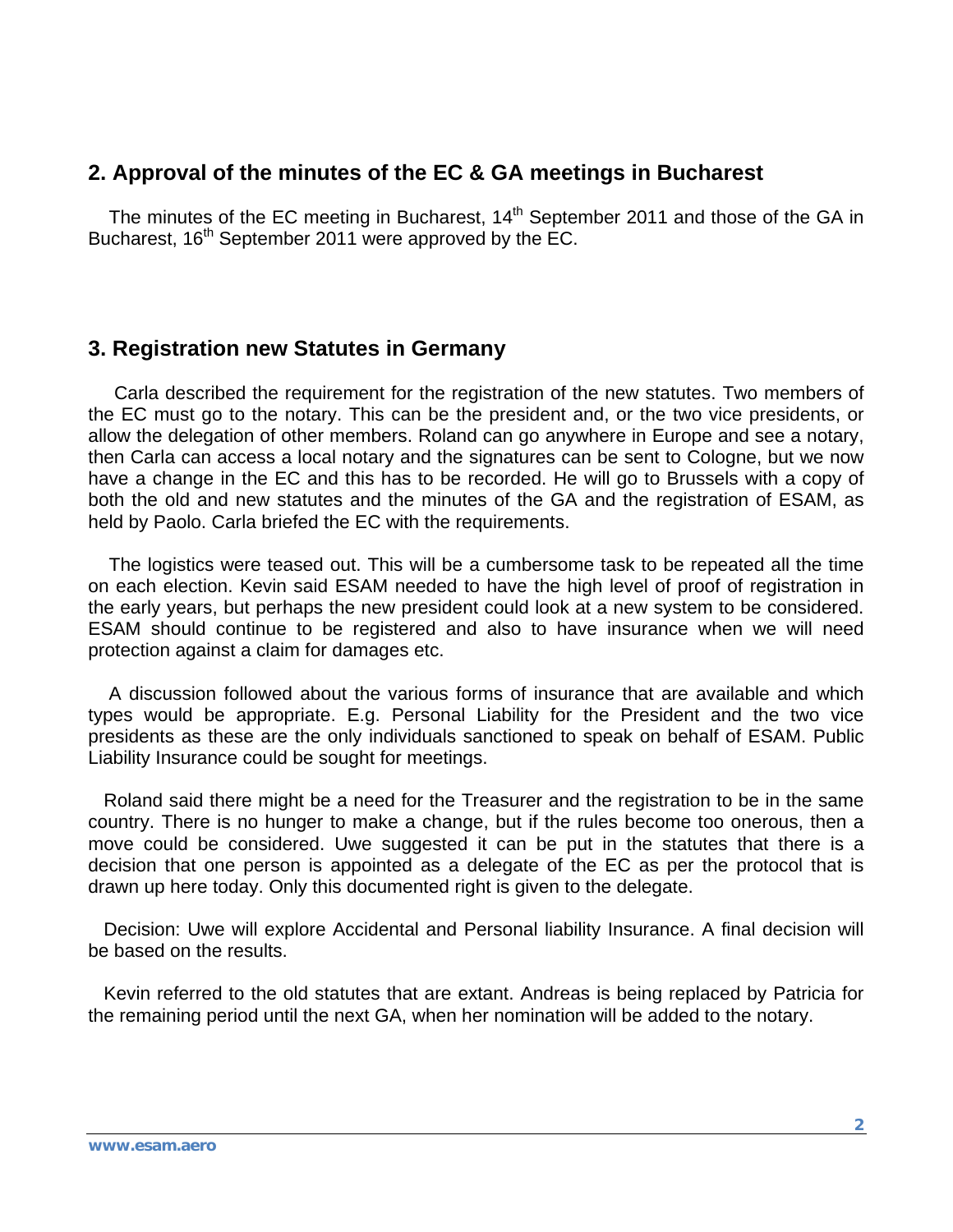## **2. Approval of the minutes of the EC & GA meetings in Bucharest**

The minutes of the EC meeting in Bucharest, 14<sup>th</sup> September 2011 and those of the GA in Bucharest, 16<sup>th</sup> September 2011 were approved by the EC.

### **3. Registration new Statutes in Germany**

 Carla described the requirement for the registration of the new statutes. Two members of the EC must go to the notary. This can be the president and, or the two vice presidents, or allow the delegation of other members. Roland can go anywhere in Europe and see a notary, then Carla can access a local notary and the signatures can be sent to Cologne, but we now have a change in the EC and this has to be recorded. He will go to Brussels with a copy of both the old and new statutes and the minutes of the GA and the registration of ESAM, as held by Paolo. Carla briefed the EC with the requirements.

 The logistics were teased out. This will be a cumbersome task to be repeated all the time on each election. Kevin said ESAM needed to have the high level of proof of registration in the early years, but perhaps the new president could look at a new system to be considered. ESAM should continue to be registered and also to have insurance when we will need protection against a claim for damages etc.

 A discussion followed about the various forms of insurance that are available and which types would be appropriate. E.g. Personal Liability for the President and the two vice presidents as these are the only individuals sanctioned to speak on behalf of ESAM. Public Liability Insurance could be sought for meetings.

 Roland said there might be a need for the Treasurer and the registration to be in the same country. There is no hunger to make a change, but if the rules become too onerous, then a move could be considered. Uwe suggested it can be put in the statutes that there is a decision that one person is appointed as a delegate of the EC as per the protocol that is drawn up here today. Only this documented right is given to the delegate.

 Decision: Uwe will explore Accidental and Personal liability Insurance. A final decision will be based on the results.

 Kevin referred to the old statutes that are extant. Andreas is being replaced by Patricia for the remaining period until the next GA, when her nomination will be added to the notary.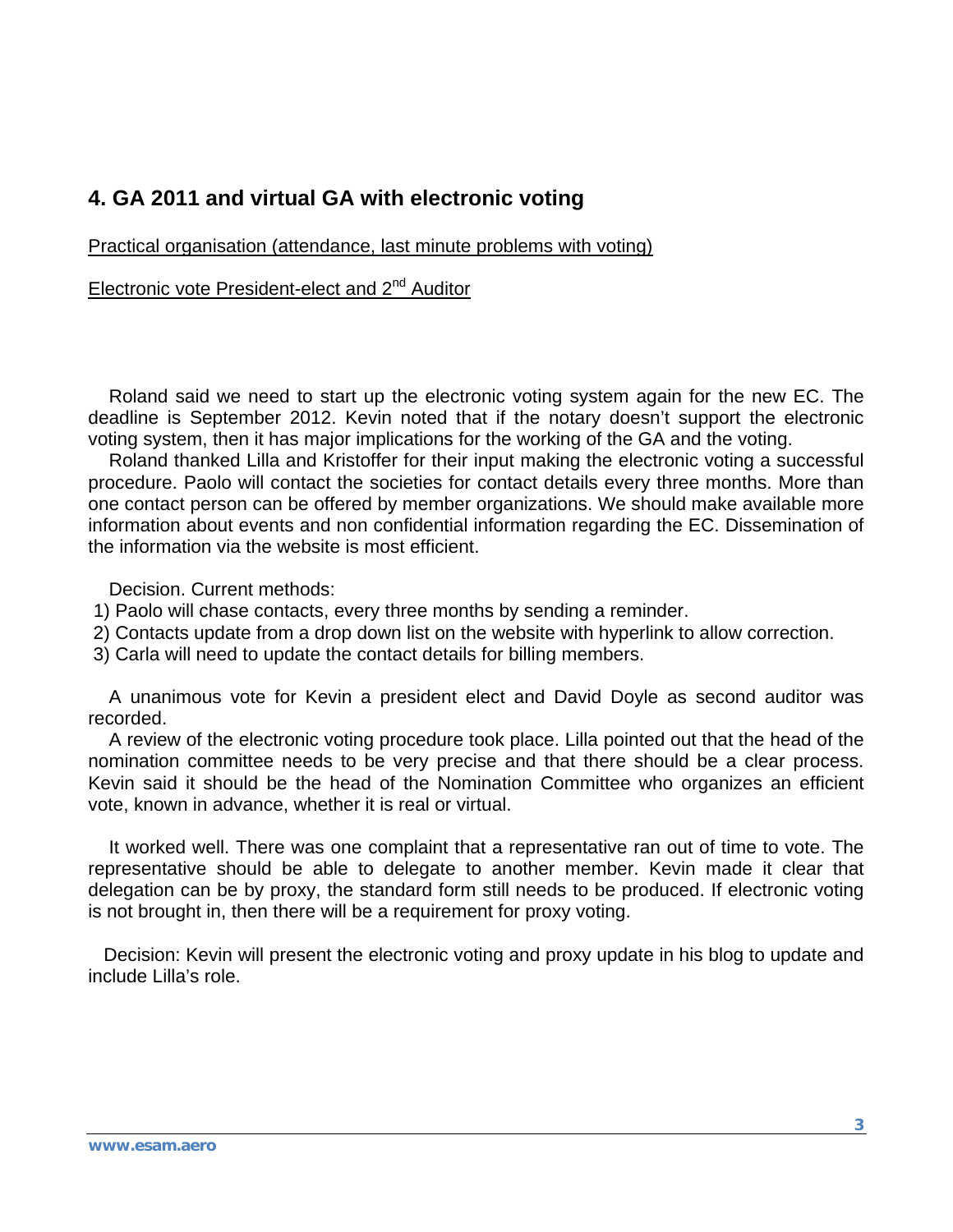# **4. GA 2011 and virtual GA with electronic voting**

Practical organisation (attendance, last minute problems with voting)

Electronic vote President-elect and 2<sup>nd</sup> Auditor

 Roland said we need to start up the electronic voting system again for the new EC. The deadline is September 2012. Kevin noted that if the notary doesn't support the electronic voting system, then it has major implications for the working of the GA and the voting.

 Roland thanked Lilla and Kristoffer for their input making the electronic voting a successful procedure. Paolo will contact the societies for contact details every three months. More than one contact person can be offered by member organizations. We should make available more information about events and non confidential information regarding the EC. Dissemination of the information via the website is most efficient.

Decision. Current methods:

- 1) Paolo will chase contacts, every three months by sending a reminder.
- 2) Contacts update from a drop down list on the website with hyperlink to allow correction.
- 3) Carla will need to update the contact details for billing members.

 A unanimous vote for Kevin a president elect and David Doyle as second auditor was recorded.

 A review of the electronic voting procedure took place. Lilla pointed out that the head of the nomination committee needs to be very precise and that there should be a clear process. Kevin said it should be the head of the Nomination Committee who organizes an efficient vote, known in advance, whether it is real or virtual.

 It worked well. There was one complaint that a representative ran out of time to vote. The representative should be able to delegate to another member. Kevin made it clear that delegation can be by proxy, the standard form still needs to be produced. If electronic voting is not brought in, then there will be a requirement for proxy voting.

 Decision: Kevin will present the electronic voting and proxy update in his blog to update and include Lilla's role.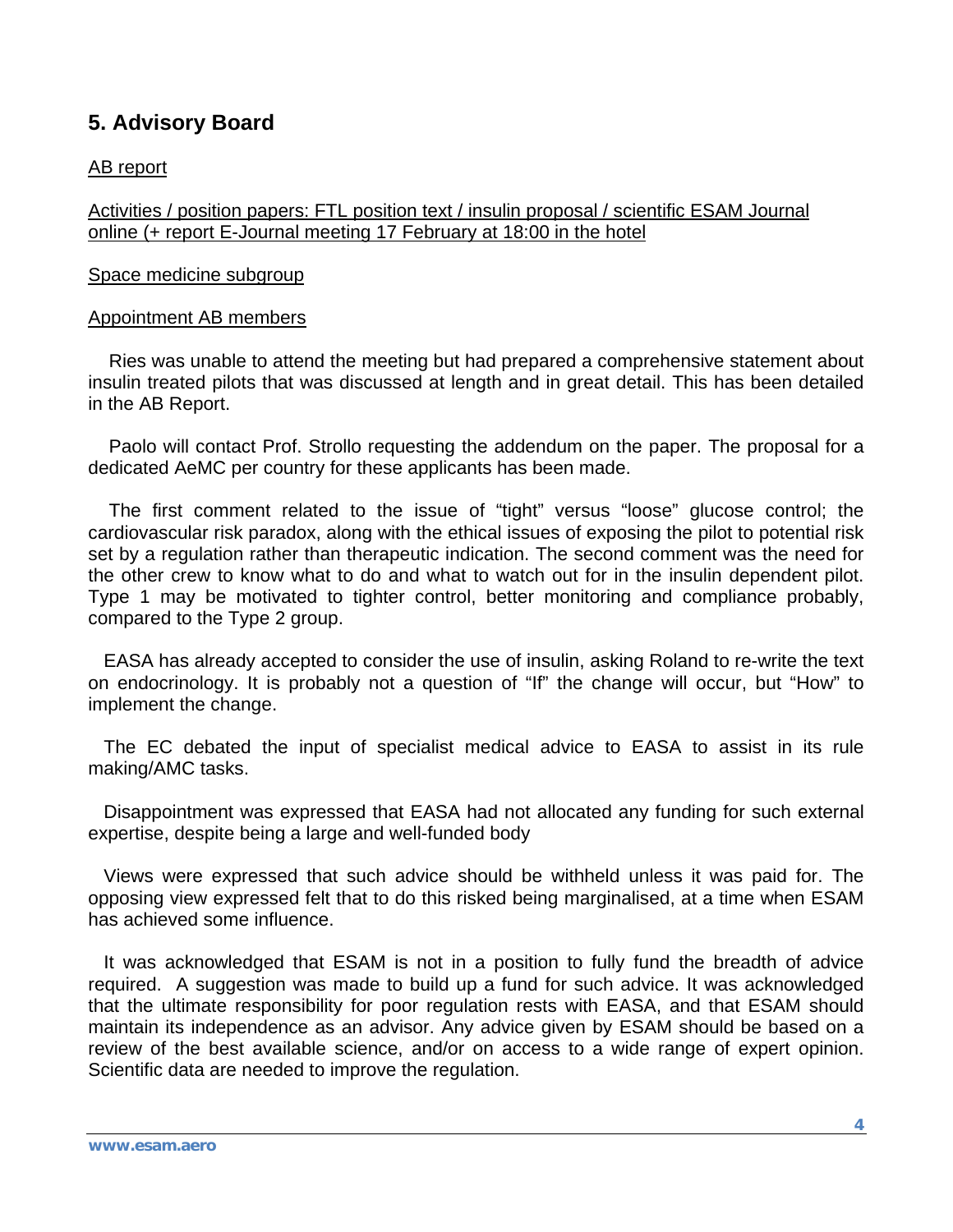# **5. Advisory Board**

#### AB report

Activities / position papers: FTL position text / insulin proposal / scientific ESAM Journal online (+ report E-Journal meeting 17 February at 18:00 in the hotel

#### Space medicine subgroup

#### Appointment AB members

 Ries was unable to attend the meeting but had prepared a comprehensive statement about insulin treated pilots that was discussed at length and in great detail. This has been detailed in the AB Report.

 Paolo will contact Prof. Strollo requesting the addendum on the paper. The proposal for a dedicated AeMC per country for these applicants has been made.

 The first comment related to the issue of "tight" versus "loose" glucose control; the cardiovascular risk paradox, along with the ethical issues of exposing the pilot to potential risk set by a regulation rather than therapeutic indication. The second comment was the need for the other crew to know what to do and what to watch out for in the insulin dependent pilot. Type 1 may be motivated to tighter control, better monitoring and compliance probably, compared to the Type 2 group.

 EASA has already accepted to consider the use of insulin, asking Roland to re-write the text on endocrinology. It is probably not a question of "If" the change will occur, but "How" to implement the change.

 The EC debated the input of specialist medical advice to EASA to assist in its rule making/AMC tasks.

 Disappointment was expressed that EASA had not allocated any funding for such external expertise, despite being a large and well-funded body

 Views were expressed that such advice should be withheld unless it was paid for. The opposing view expressed felt that to do this risked being marginalised, at a time when ESAM has achieved some influence.

 It was acknowledged that ESAM is not in a position to fully fund the breadth of advice required. A suggestion was made to build up a fund for such advice. It was acknowledged that the ultimate responsibility for poor regulation rests with EASA, and that ESAM should maintain its independence as an advisor. Any advice given by ESAM should be based on a review of the best available science, and/or on access to a wide range of expert opinion. Scientific data are needed to improve the regulation.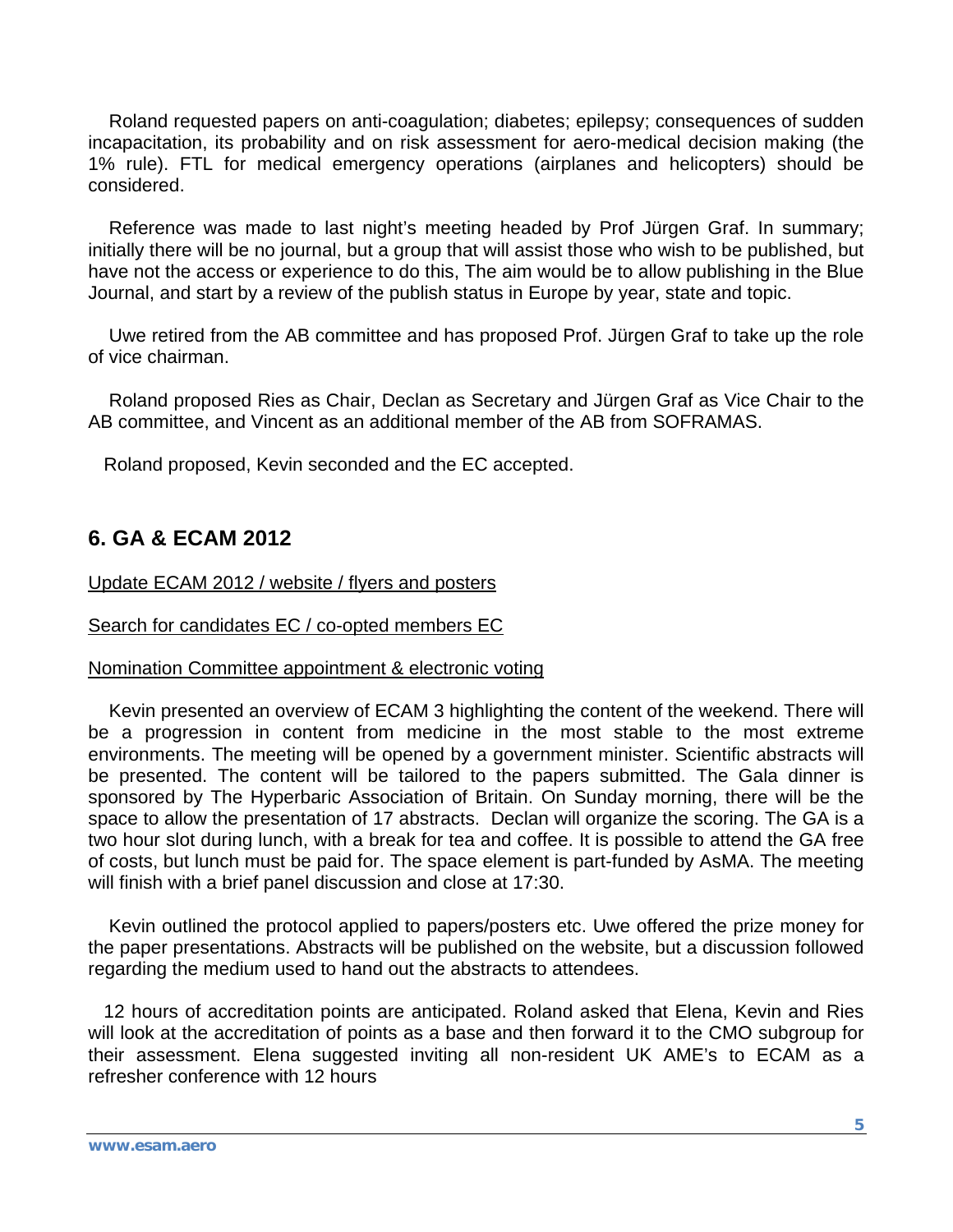Roland requested papers on anti-coagulation; diabetes; epilepsy; consequences of sudden incapacitation, its probability and on risk assessment for aero-medical decision making (the 1% rule). FTL for medical emergency operations (airplanes and helicopters) should be considered.

 Reference was made to last night's meeting headed by Prof Jürgen Graf. In summary; initially there will be no journal, but a group that will assist those who wish to be published, but have not the access or experience to do this, The aim would be to allow publishing in the Blue Journal, and start by a review of the publish status in Europe by year, state and topic.

 Uwe retired from the AB committee and has proposed Prof. Jürgen Graf to take up the role of vice chairman.

 Roland proposed Ries as Chair, Declan as Secretary and Jürgen Graf as Vice Chair to the AB committee, and Vincent as an additional member of the AB from SOFRAMAS.

Roland proposed, Kevin seconded and the EC accepted.

# **6. GA & ECAM 2012**

Update ECAM 2012 / website / flyers and posters

Search for candidates EC / co-opted members EC

#### Nomination Committee appointment & electronic voting

 Kevin presented an overview of ECAM 3 highlighting the content of the weekend. There will be a progression in content from medicine in the most stable to the most extreme environments. The meeting will be opened by a government minister. Scientific abstracts will be presented. The content will be tailored to the papers submitted. The Gala dinner is sponsored by The Hyperbaric Association of Britain. On Sunday morning, there will be the space to allow the presentation of 17 abstracts. Declan will organize the scoring. The GA is a two hour slot during lunch, with a break for tea and coffee. It is possible to attend the GA free of costs, but lunch must be paid for. The space element is part-funded by AsMA. The meeting will finish with a brief panel discussion and close at 17:30.

 Kevin outlined the protocol applied to papers/posters etc. Uwe offered the prize money for the paper presentations. Abstracts will be published on the website, but a discussion followed regarding the medium used to hand out the abstracts to attendees.

 12 hours of accreditation points are anticipated. Roland asked that Elena, Kevin and Ries will look at the accreditation of points as a base and then forward it to the CMO subgroup for their assessment. Elena suggested inviting all non-resident UK AME's to ECAM as a refresher conference with 12 hours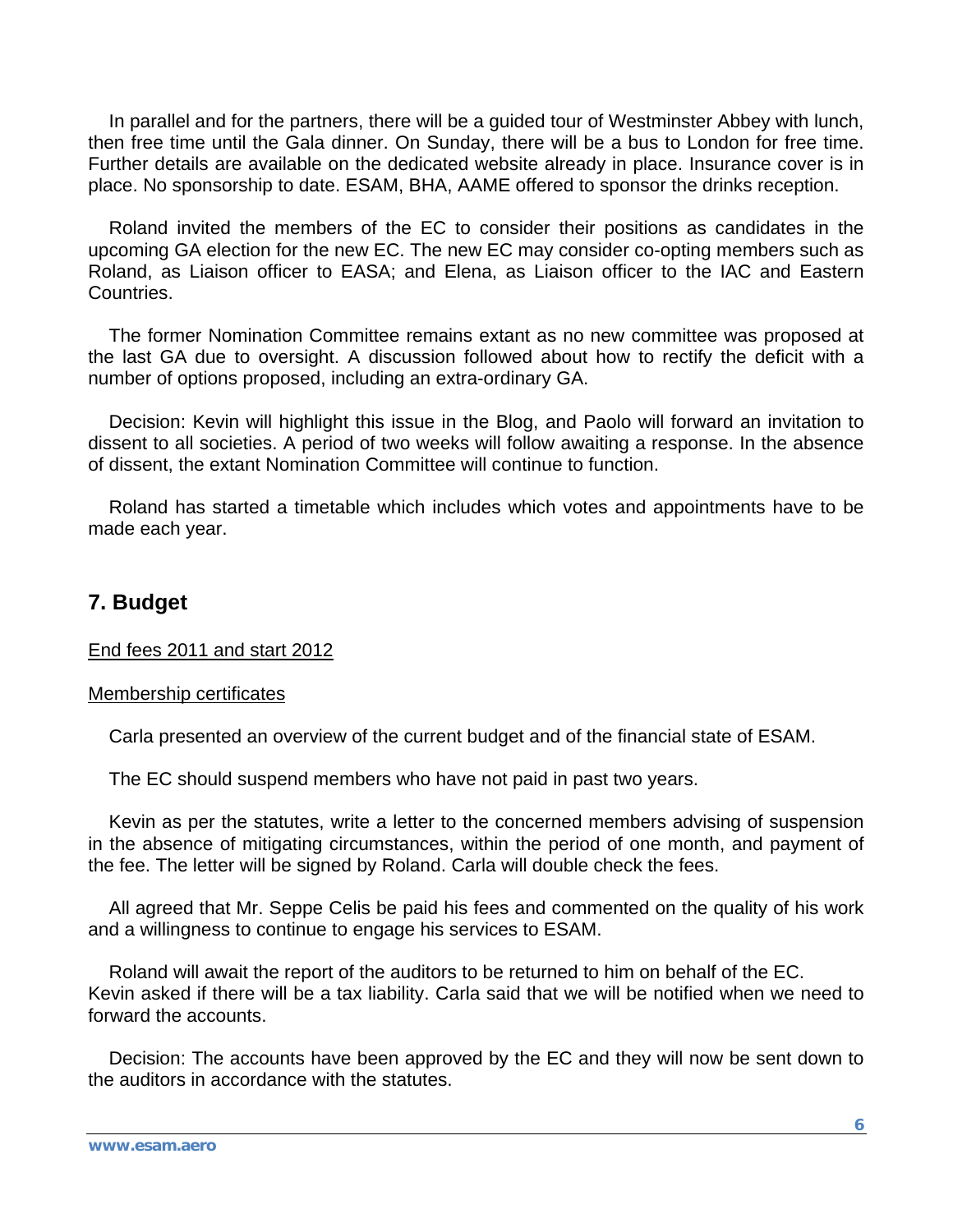In parallel and for the partners, there will be a guided tour of Westminster Abbey with lunch, then free time until the Gala dinner. On Sunday, there will be a bus to London for free time. Further details are available on the dedicated website already in place. Insurance cover is in place. No sponsorship to date. ESAM, BHA, AAME offered to sponsor the drinks reception.

 Roland invited the members of the EC to consider their positions as candidates in the upcoming GA election for the new EC. The new EC may consider co-opting members such as Roland, as Liaison officer to EASA; and Elena, as Liaison officer to the IAC and Eastern Countries.

 The former Nomination Committee remains extant as no new committee was proposed at the last GA due to oversight. A discussion followed about how to rectify the deficit with a number of options proposed, including an extra-ordinary GA.

 Decision: Kevin will highlight this issue in the Blog, and Paolo will forward an invitation to dissent to all societies. A period of two weeks will follow awaiting a response. In the absence of dissent, the extant Nomination Committee will continue to function.

 Roland has started a timetable which includes which votes and appointments have to be made each year.

### **7. Budget**

End fees 2011 and start 2012

#### Membership certificates

Carla presented an overview of the current budget and of the financial state of ESAM.

The EC should suspend members who have not paid in past two years.

 Kevin as per the statutes, write a letter to the concerned members advising of suspension in the absence of mitigating circumstances, within the period of one month, and payment of the fee. The letter will be signed by Roland. Carla will double check the fees.

 All agreed that Mr. Seppe Celis be paid his fees and commented on the quality of his work and a willingness to continue to engage his services to ESAM.

 Roland will await the report of the auditors to be returned to him on behalf of the EC. Kevin asked if there will be a tax liability. Carla said that we will be notified when we need to forward the accounts.

 Decision: The accounts have been approved by the EC and they will now be sent down to the auditors in accordance with the statutes.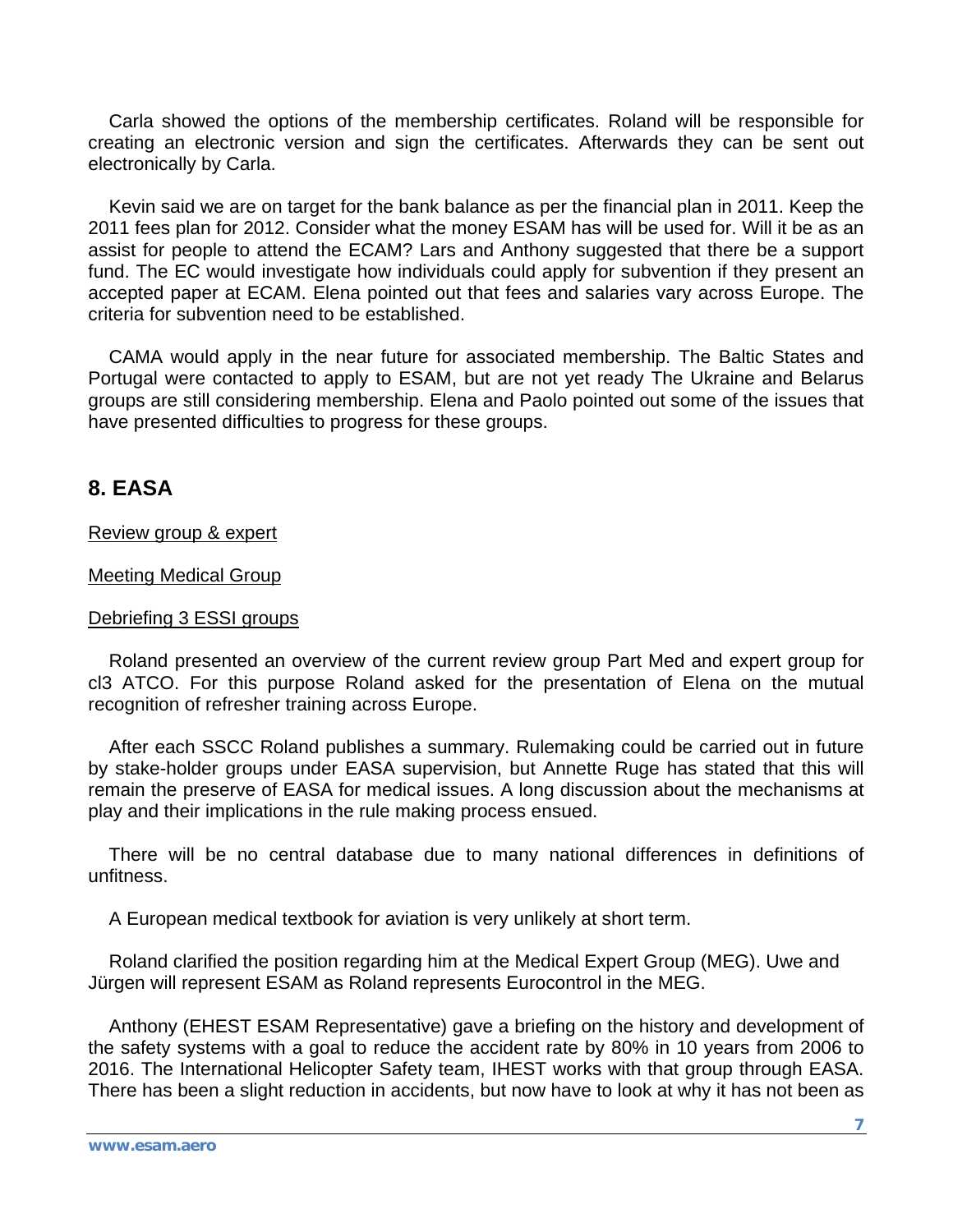Carla showed the options of the membership certificates. Roland will be responsible for creating an electronic version and sign the certificates. Afterwards they can be sent out electronically by Carla.

 Kevin said we are on target for the bank balance as per the financial plan in 2011. Keep the 2011 fees plan for 2012. Consider what the money ESAM has will be used for. Will it be as an assist for people to attend the ECAM? Lars and Anthony suggested that there be a support fund. The EC would investigate how individuals could apply for subvention if they present an accepted paper at ECAM. Elena pointed out that fees and salaries vary across Europe. The criteria for subvention need to be established.

 CAMA would apply in the near future for associated membership. The Baltic States and Portugal were contacted to apply to ESAM, but are not yet ready The Ukraine and Belarus groups are still considering membership. Elena and Paolo pointed out some of the issues that have presented difficulties to progress for these groups.

# **8. EASA**

#### Review group & expert

#### Meeting Medical Group

#### Debriefing 3 ESSI groups

 Roland presented an overview of the current review group Part Med and expert group for cl3 ATCO. For this purpose Roland asked for the presentation of Elena on the mutual recognition of refresher training across Europe.

 After each SSCC Roland publishes a summary. Rulemaking could be carried out in future by stake-holder groups under EASA supervision, but Annette Ruge has stated that this will remain the preserve of EASA for medical issues. A long discussion about the mechanisms at play and their implications in the rule making process ensued.

 There will be no central database due to many national differences in definitions of unfitness.

A European medical textbook for aviation is very unlikely at short term.

 Roland clarified the position regarding him at the Medical Expert Group (MEG). Uwe and Jürgen will represent ESAM as Roland represents Eurocontrol in the MEG.

 Anthony (EHEST ESAM Representative) gave a briefing on the history and development of the safety systems with a goal to reduce the accident rate by 80% in 10 years from 2006 to 2016. The International Helicopter Safety team, IHEST works with that group through EASA. There has been a slight reduction in accidents, but now have to look at why it has not been as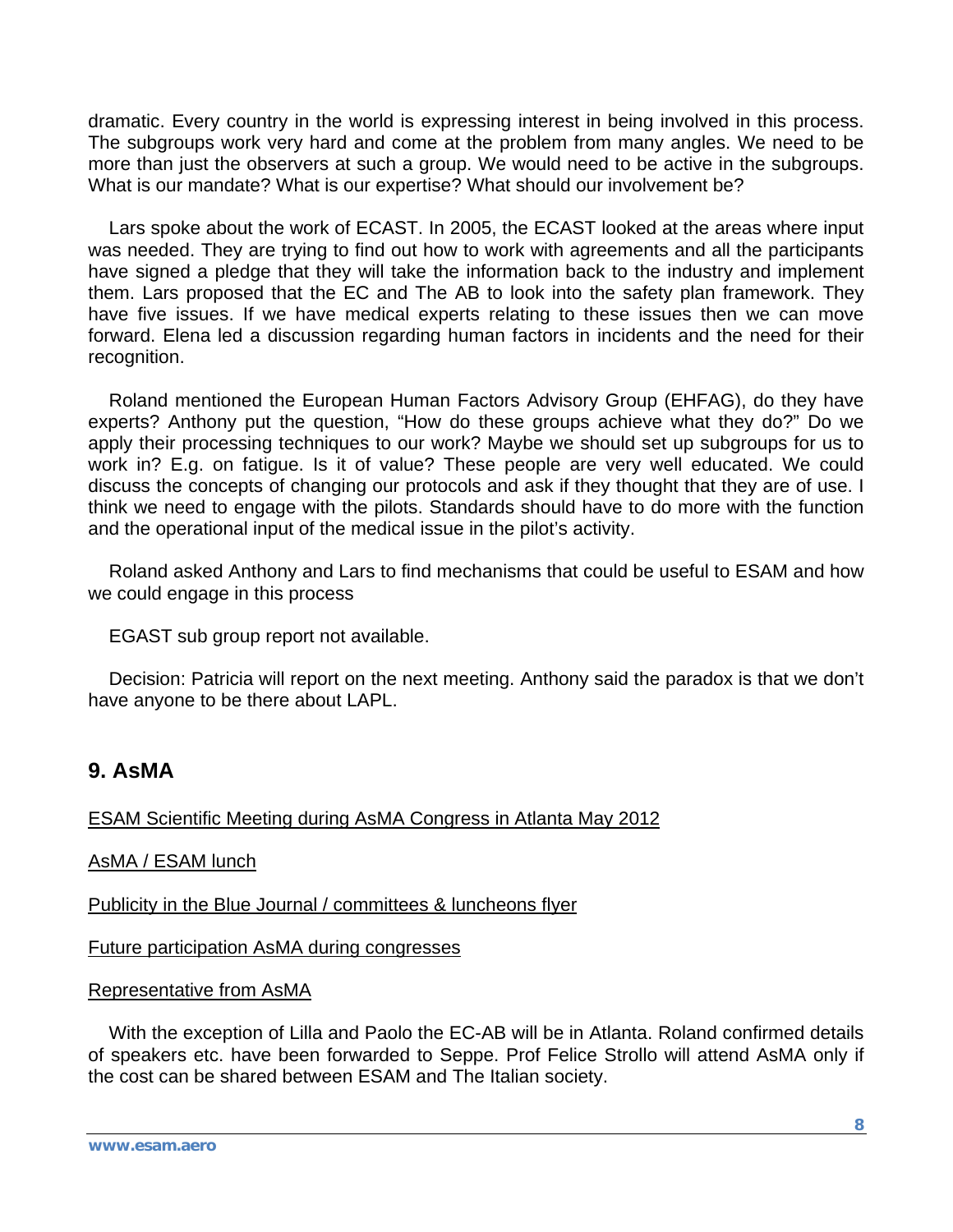dramatic. Every country in the world is expressing interest in being involved in this process. The subgroups work very hard and come at the problem from many angles. We need to be more than just the observers at such a group. We would need to be active in the subgroups. What is our mandate? What is our expertise? What should our involvement be?

 Lars spoke about the work of ECAST. In 2005, the ECAST looked at the areas where input was needed. They are trying to find out how to work with agreements and all the participants have signed a pledge that they will take the information back to the industry and implement them. Lars proposed that the EC and The AB to look into the safety plan framework. They have five issues. If we have medical experts relating to these issues then we can move forward. Elena led a discussion regarding human factors in incidents and the need for their recognition.

 Roland mentioned the European Human Factors Advisory Group (EHFAG), do they have experts? Anthony put the question, "How do these groups achieve what they do?" Do we apply their processing techniques to our work? Maybe we should set up subgroups for us to work in? E.g. on fatigue. Is it of value? These people are very well educated. We could discuss the concepts of changing our protocols and ask if they thought that they are of use. I think we need to engage with the pilots. Standards should have to do more with the function and the operational input of the medical issue in the pilot's activity.

 Roland asked Anthony and Lars to find mechanisms that could be useful to ESAM and how we could engage in this process

EGAST sub group report not available.

 Decision: Patricia will report on the next meeting. Anthony said the paradox is that we don't have anyone to be there about LAPL.

# **9. AsMA**

ESAM Scientific Meeting during AsMA Congress in Atlanta May 2012

AsMA / ESAM lunch

Publicity in the Blue Journal / committees & luncheons flyer

Future participation AsMA during congresses

Representative from AsMA

 With the exception of Lilla and Paolo the EC-AB will be in Atlanta. Roland confirmed details of speakers etc. have been forwarded to Seppe. Prof Felice Strollo will attend AsMA only if the cost can be shared between ESAM and The Italian society.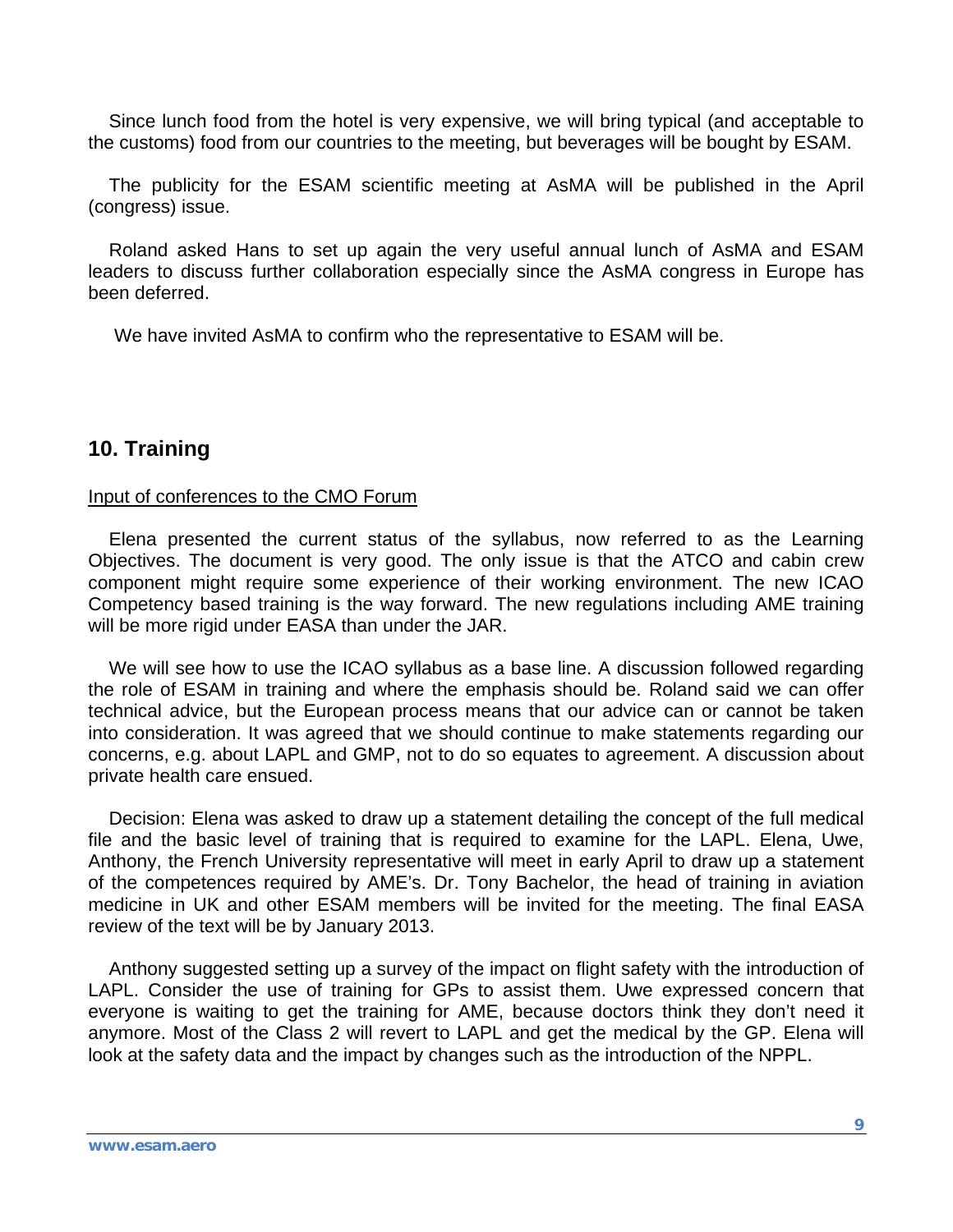Since lunch food from the hotel is very expensive, we will bring typical (and acceptable to the customs) food from our countries to the meeting, but beverages will be bought by ESAM.

 The publicity for the ESAM scientific meeting at AsMA will be published in the April (congress) issue.

 Roland asked Hans to set up again the very useful annual lunch of AsMA and ESAM leaders to discuss further collaboration especially since the AsMA congress in Europe has been deferred.

We have invited AsMA to confirm who the representative to ESAM will be.

# **10. Training**

#### Input of conferences to the CMO Forum

 Elena presented the current status of the syllabus, now referred to as the Learning Objectives. The document is very good. The only issue is that the ATCO and cabin crew component might require some experience of their working environment. The new ICAO Competency based training is the way forward. The new regulations including AME training will be more rigid under EASA than under the JAR.

 We will see how to use the ICAO syllabus as a base line. A discussion followed regarding the role of ESAM in training and where the emphasis should be. Roland said we can offer technical advice, but the European process means that our advice can or cannot be taken into consideration. It was agreed that we should continue to make statements regarding our concerns, e.g. about LAPL and GMP, not to do so equates to agreement. A discussion about private health care ensued.

 Decision: Elena was asked to draw up a statement detailing the concept of the full medical file and the basic level of training that is required to examine for the LAPL. Elena, Uwe, Anthony, the French University representative will meet in early April to draw up a statement of the competences required by AME's. Dr. Tony Bachelor, the head of training in aviation medicine in UK and other ESAM members will be invited for the meeting. The final EASA review of the text will be by January 2013.

 Anthony suggested setting up a survey of the impact on flight safety with the introduction of LAPL. Consider the use of training for GPs to assist them. Uwe expressed concern that everyone is waiting to get the training for AME, because doctors think they don't need it anymore. Most of the Class 2 will revert to LAPL and get the medical by the GP. Elena will look at the safety data and the impact by changes such as the introduction of the NPPL.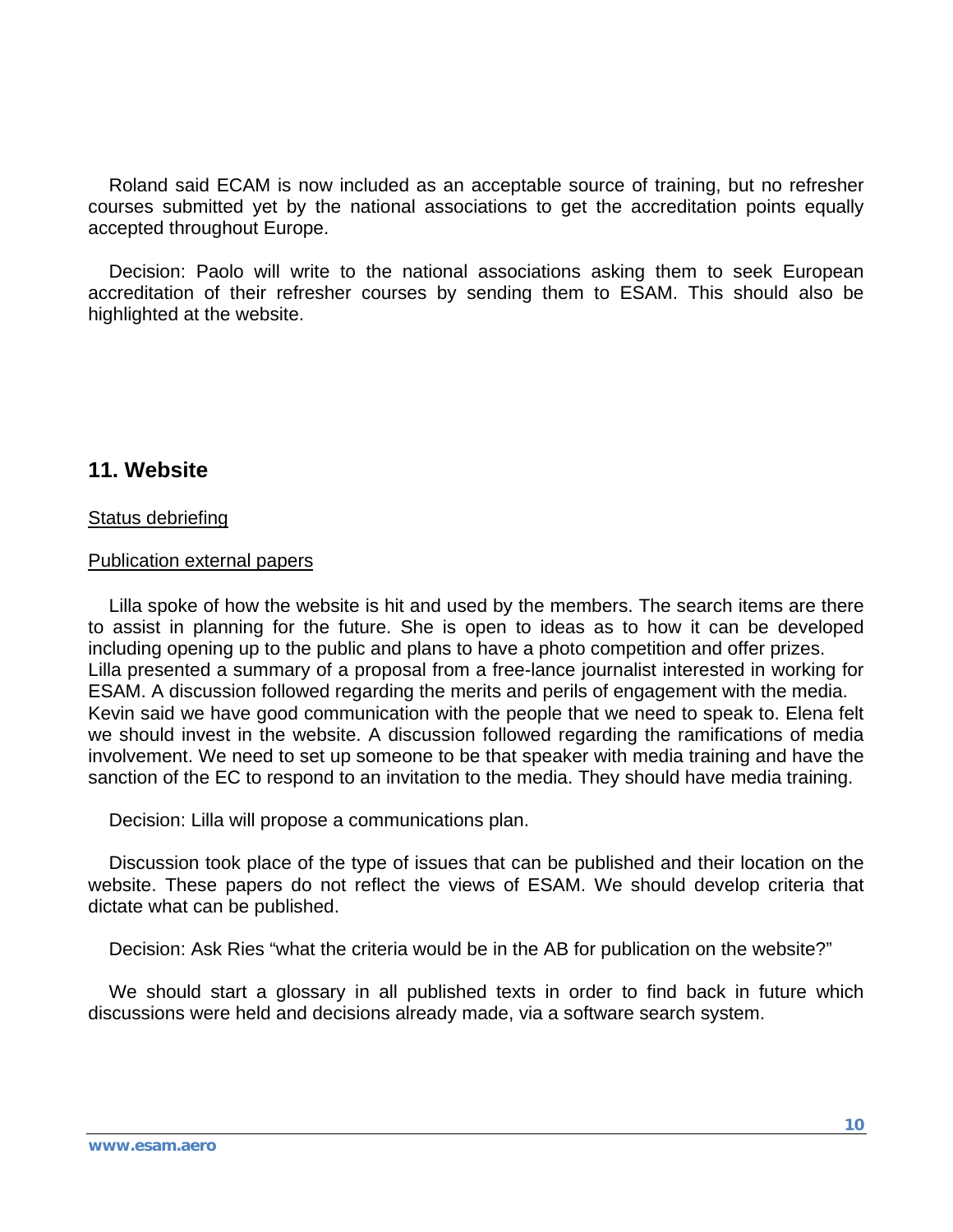Roland said ECAM is now included as an acceptable source of training, but no refresher courses submitted yet by the national associations to get the accreditation points equally accepted throughout Europe.

 Decision: Paolo will write to the national associations asking them to seek European accreditation of their refresher courses by sending them to ESAM. This should also be highlighted at the website.

### **11. Website**

#### Status debriefing

#### Publication external papers

 Lilla spoke of how the website is hit and used by the members. The search items are there to assist in planning for the future. She is open to ideas as to how it can be developed including opening up to the public and plans to have a photo competition and offer prizes. Lilla presented a summary of a proposal from a free-lance journalist interested in working for ESAM. A discussion followed regarding the merits and perils of engagement with the media. Kevin said we have good communication with the people that we need to speak to. Elena felt we should invest in the website. A discussion followed regarding the ramifications of media involvement. We need to set up someone to be that speaker with media training and have the sanction of the EC to respond to an invitation to the media. They should have media training.

Decision: Lilla will propose a communications plan.

 Discussion took place of the type of issues that can be published and their location on the website. These papers do not reflect the views of ESAM. We should develop criteria that dictate what can be published.

Decision: Ask Ries "what the criteria would be in the AB for publication on the website?"

 We should start a glossary in all published texts in order to find back in future which discussions were held and decisions already made, via a software search system.